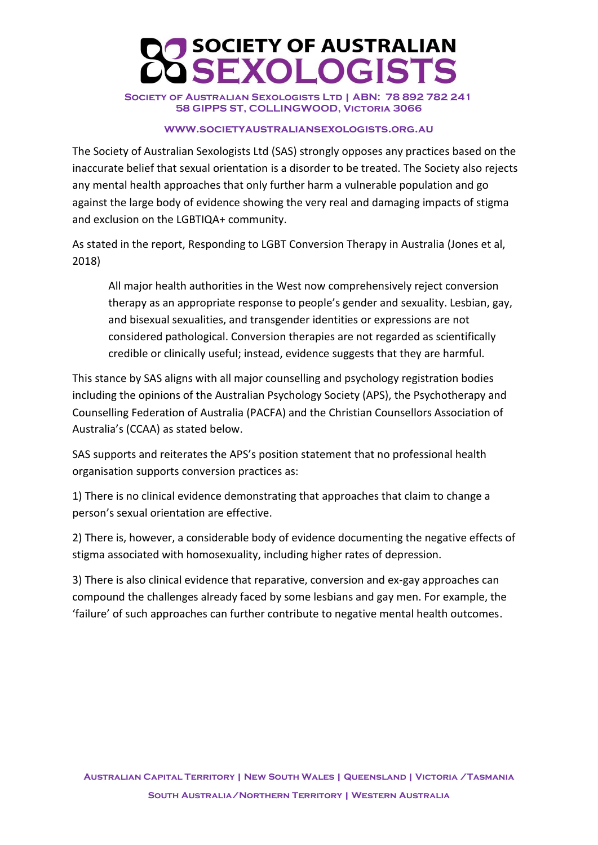## SOCIETY OF AUSTRALIAN<br>SEXOLOGISTS

SOCIETY OF AUSTRALIAN SEXOLOGISTS LTD | ABN: 78 892 782 241 **58 GIPPS ST, COLLINGWOOD, Victoria 3066**

## **www.societyaustraliansexologists.org.au**

The Society of Australian Sexologists Ltd (SAS) strongly opposes any practices based on the inaccurate belief that sexual orientation is a disorder to be treated. The Society also rejects any mental health approaches that only further harm a vulnerable population and go against the large body of evidence showing the very real and damaging impacts of stigma and exclusion on the LGBTIQA+ community.

As stated in the report, Responding to LGBT Conversion Therapy in Australia (Jones et al, 2018)

All major health authorities in the West now comprehensively reject conversion therapy as an appropriate response to people's gender and sexuality. Lesbian, gay, and bisexual sexualities, and transgender identities or expressions are not considered pathological. Conversion therapies are not regarded as scientifically credible or clinically useful; instead, evidence suggests that they are harmful.

This stance by SAS aligns with all major counselling and psychology registration bodies including the opinions of the Australian Psychology Society (APS), the Psychotherapy and Counselling Federation of Australia (PACFA) and the Christian Counsellors Association of Australia's (CCAA) as stated below.

SAS supports and reiterates the APS's position statement that no professional health organisation supports conversion practices as:

1) There is no clinical evidence demonstrating that approaches that claim to change a person's sexual orientation are effective.

2) There is, however, a considerable body of evidence documenting the negative effects of stigma associated with homosexuality, including higher rates of depression.

3) There is also clinical evidence that reparative, conversion and ex-gay approaches can compound the challenges already faced by some lesbians and gay men. For example, the 'failure' of such approaches can further contribute to negative mental health outcomes.